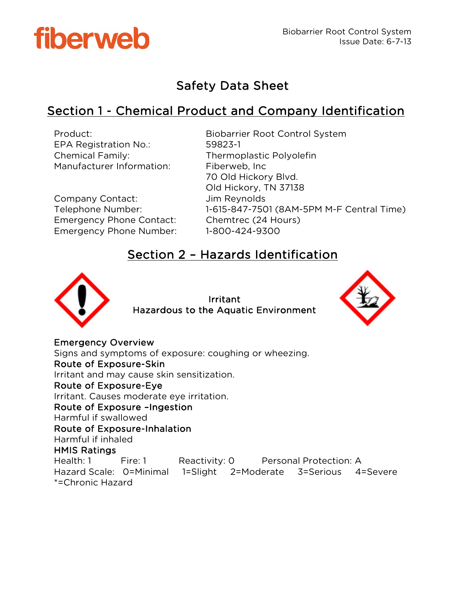

# Safety Data Sheet

# Section 1 - Chemical Product and Company Identification

| Product:<br><b>EPA Registration No.:</b><br><b>Chemical Family:</b><br>Manufacturer Information:           | <b>Biobarrier Root Control System</b><br>59823-1<br>Thermoplastic Polyolefin<br>Fiberweb, Inc.<br>70 Old Hickory Blvd.      |
|------------------------------------------------------------------------------------------------------------|-----------------------------------------------------------------------------------------------------------------------------|
| Company Contact:<br>Telephone Number:<br><b>Emergency Phone Contact:</b><br><b>Emergency Phone Number:</b> | Old Hickory, TN 37138<br>Jim Reynolds<br>1-615-847-7501 (8AM-5PM M-F Central Time)<br>Chemtrec (24 Hours)<br>1-800-424-9300 |

## Section 2 – Hazards Identification



Irritant Hazardous to the Aquatic Environment



Emergency Overview Signs and symptoms of exposure: coughing or wheezing. Route of Exposure-Skin Irritant and may cause skin sensitization. Route of Exposure-Eye Irritant. Causes moderate eye irritation. Route of Exposure –Ingestion Harmful if swallowed Route of Exposure-Inhalation Harmful if inhaled HMIS Ratings Health: 1 Fire: 1 Reactivity: 0 Personal Protection: A Hazard Scale: 0=Minimal 1=Slight 2=Moderate 3=Serious 4=Severe \*=Chronic Hazard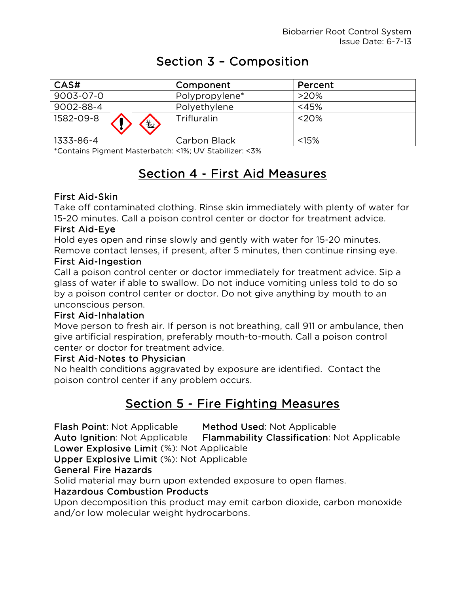# Section 3 – Composition

| CAS#                       | Component      | Percent |
|----------------------------|----------------|---------|
| 9003-07-0                  | Polypropylene* | $>20\%$ |
| 9002-88-4                  | Polyethylene   | $<$ 45% |
| 1582-09-8<br>$\frac{1}{2}$ | Trifluralin    | <20%    |
| 1333-86-4                  | Carbon Black   | < 15%   |

\*Contains Pigment Masterbatch: <1%; UV Stabilizer: <3%

# Section 4 - First Aid Measures

### First Aid-Skin

Take off contaminated clothing. Rinse skin immediately with plenty of water for 15-20 minutes. Call a poison control center or doctor for treatment advice.

### First Aid-Eye

Hold eyes open and rinse slowly and gently with water for 15-20 minutes. Remove contact lenses, if present, after 5 minutes, then continue rinsing eye.

### First Aid-Ingestion

Call a poison control center or doctor immediately for treatment advice. Sip a glass of water if able to swallow. Do not induce vomiting unless told to do so by a poison control center or doctor. Do not give anything by mouth to an unconscious person.

### First Aid-Inhalation

Move person to fresh air. If person is not breathing, call 911 or ambulance, then give artificial respiration, preferably mouth-to-mouth. Call a poison control center or doctor for treatment advice.

### First Aid-Notes to Physician

No health conditions aggravated by exposure are identified. Contact the poison control center if any problem occurs.

# Section 5 - Fire Fighting Measures

Flash Point: Not Applicable Method Used: Not Applicable

Auto Ignition: Not Applicable Flammability Classification: Not Applicable Lower Explosive Limit (%): Not Applicable

Upper Explosive Limit (%): Not Applicable

### General Fire Hazards

Solid material may burn upon extended exposure to open flames.

## Hazardous Combustion Products

Upon decomposition this product may emit carbon dioxide, carbon monoxide and/or low molecular weight hydrocarbons.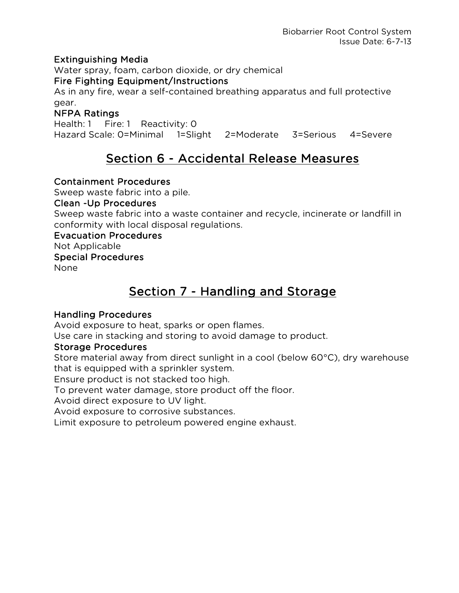### Extinguishing Media

Water spray, foam, carbon dioxide, or dry chemical

### Fire Fighting Equipment/Instructions

As in any fire, wear a self-contained breathing apparatus and full protective gear.

## NFPA Ratings

Health: 1 Fire: 1 Reactivity: 0 Hazard Scale: 0=Minimal 1=Slight 2=Moderate 3=Serious 4=Severe

# Section 6 - Accidental Release Measures

### Containment Procedures

Sweep waste fabric into a pile.

#### Clean -Up Procedures

Sweep waste fabric into a waste container and recycle, incinerate or landfill in conformity with local disposal regulations.

## Evacuation Procedures

Not Applicable

### Special Procedures

None

# Section 7 - Handling and Storage

## Handling Procedures

Avoid exposure to heat, sparks or open flames.

Use care in stacking and storing to avoid damage to product.

### Storage Procedures

Store material away from direct sunlight in a cool (below 60°C), dry warehouse that is equipped with a sprinkler system.

Ensure product is not stacked too high.

To prevent water damage, store product off the floor.

Avoid direct exposure to UV light.

Avoid exposure to corrosive substances.

Limit exposure to petroleum powered engine exhaust.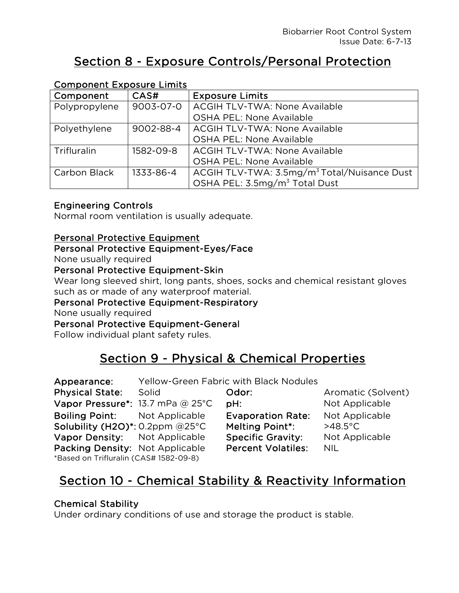# Section 8 - Exposure Controls/Personal Protection

|               | COMPONENT LADOSUI C'ENNICS |                                                         |  |  |
|---------------|----------------------------|---------------------------------------------------------|--|--|
| Component     | CAS#                       | <b>Exposure Limits</b>                                  |  |  |
| Polypropylene | 9003-07-0                  | <b>ACGIH TLV-TWA: None Available</b>                    |  |  |
|               |                            | <b>OSHA PEL: None Available</b>                         |  |  |
| Polyethylene  | 9002-88-4                  | <b>ACGIH TLV-TWA: None Available</b>                    |  |  |
|               |                            | <b>OSHA PEL: None Available</b>                         |  |  |
| Trifluralin   | 1582-09-8                  | <b>ACGIH TLV-TWA: None Available</b>                    |  |  |
|               |                            | <b>OSHA PEL: None Available</b>                         |  |  |
| Carbon Black  | 1333-86-4                  | ACGIH TLV-TWA: 3.5mg/m <sup>3</sup> Total/Nuisance Dust |  |  |
|               |                            | OSHA PEL: 3.5mg/m <sup>3</sup> Total Dust               |  |  |

## Component Exposure Limits

### Engineering Controls

Normal room ventilation is usually adequate.

### Personal Protective Equipment

#### Personal Protective Equipment-Eyes/Face

None usually required

### Personal Protective Equipment-Skin

Wear long sleeved shirt, long pants, shoes, socks and chemical resistant gloves such as or made of any waterproof material.

### Personal Protective Equipment-Respiratory

None usually required

Personal Protective Equipment-General

Follow individual plant safety rules.

# Section 9 - Physical & Chemical Properties

| Appearance:                            |       | <b>Yellow-Green Fabric with Black Nodules</b> |                    |
|----------------------------------------|-------|-----------------------------------------------|--------------------|
| <b>Physical State:</b>                 | Solid | Odor:                                         | Aromatic (Solvent) |
| Vapor Pressure*: 13.7 mPa @ 25°C       |       | PH:                                           | Not Applicable     |
| <b>Boiling Point:</b> Not Applicable   |       | <b>Evaporation Rate:</b>                      | Not Applicable     |
| Solubility (H2O)*: 0.2ppm $@25°C$      |       | <b>Melting Point*:</b>                        | $>48.5^{\circ}$ C  |
| Vapor Density: Not Applicable          |       | <b>Specific Gravity:</b>                      | Not Applicable     |
| Packing Density: Not Applicable        |       | <b>Percent Volatiles:</b>                     | <b>NIL</b>         |
| *Based on Trifluralin (CAS# 1582-09-8) |       |                                               |                    |

# Section 10 - Chemical Stability & Reactivity Information

## Chemical Stability

Under ordinary conditions of use and storage the product is stable.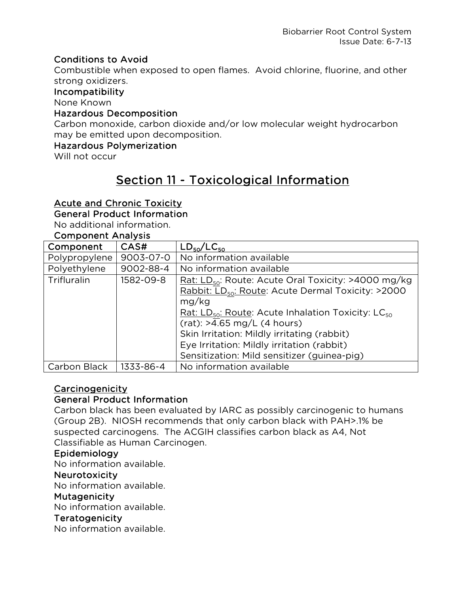### Conditions to Avoid

Combustible when exposed to open flames. Avoid chlorine, fluorine, and other strong oxidizers.

#### Incompatibility

None Known

#### Hazardous Decomposition

Carbon monoxide, carbon dioxide and/or low molecular weight hydrocarbon may be emitted upon decomposition.

#### Hazardous Polymerization

Will not occur

# Section 11 - Toxicological Information

### Acute and Chronic Toxicity

### General Product Information

No additional information.

#### Component Analysis

| Component     | CAS#      | $LD_{50}/LC_{50}$                                                          |  |
|---------------|-----------|----------------------------------------------------------------------------|--|
| Polypropylene | 9003-07-0 | No information available                                                   |  |
| Polyethylene  | 9002-88-4 | No information available                                                   |  |
| Trifluralin   | 1582-09-8 | Rat: LD <sub>50</sub> : Route: Acute Oral Toxicity: >4000 mg/kg            |  |
|               |           | Rabbit: $LD_{50}$ : Route: Acute Dermal Toxicity: >2000                    |  |
|               |           | mg/kg                                                                      |  |
|               |           | Rat: LD <sub>50</sub> : Route: Acute Inhalation Toxicity: LC <sub>50</sub> |  |
|               |           | $(rat):$ >4.65 mg/L (4 hours)                                              |  |
|               |           | Skin Irritation: Mildly irritating (rabbit)                                |  |
|               |           | Eye Irritation: Mildly irritation (rabbit)                                 |  |
|               |           | Sensitization: Mild sensitizer (guinea-pig)                                |  |
| Carbon Black  | 1333-86-4 | No information available                                                   |  |

### Carcinogenicity

#### General Product Information

Carbon black has been evaluated by IARC as possibly carcinogenic to humans (Group 2B). NIOSH recommends that only carbon black with PAH>.1% be suspected carcinogens. The ACGIH classifies carbon black as A4, Not Classifiable as Human Carcinogen.

#### Epidemiology

No information available.

#### Neurotoxicity

No information available.

#### **Mutagenicity**

No information available.

#### Teratogenicity

No information available.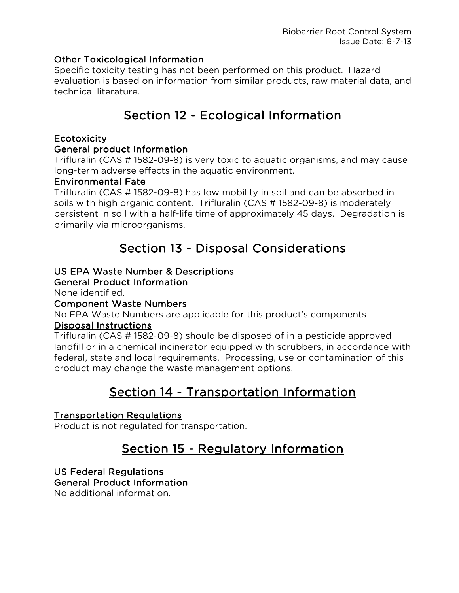### Other Toxicological Information

Specific toxicity testing has not been performed on this product. Hazard evaluation is based on information from similar products, raw material data, and technical literature.

# Section 12 - Ecological Information

### Ecotoxicity

### General product Information

Trifluralin (CAS # 1582-09-8) is very toxic to aquatic organisms, and may cause long-term adverse effects in the aquatic environment.

### Environmental Fate

Trifluralin (CAS # 1582-09-8) has low mobility in soil and can be absorbed in soils with high organic content. Trifluralin (CAS # 1582-09-8) is moderately persistent in soil with a half-life time of approximately 45 days. Degradation is primarily via microorganisms.

## Section 13 - Disposal Considerations

### US EPA Waste Number & Descriptions

General Product Information

None identified.

### Component Waste Numbers

No EPA Waste Numbers are applicable for this product's components Disposal Instructions

Trifluralin (CAS # 1582-09-8) should be disposed of in a pesticide approved landfill or in a chemical incinerator equipped with scrubbers, in accordance with federal, state and local requirements. Processing, use or contamination of this product may change the waste management options.

# Section 14 - Transportation Information

## Transportation Regulations

Product is not regulated for transportation.

# Section 15 - Regulatory Information

## US Federal Regulations

### General Product Information

No additional information.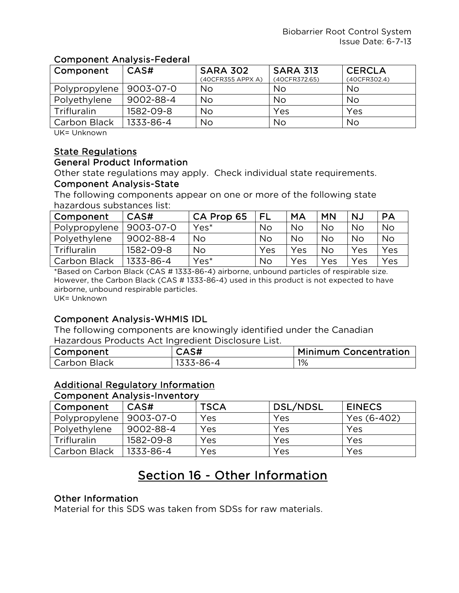### Component Analysis-Federal

| Component     | CAS#      | <b>SARA 302</b><br>(40CFR355 APPX A) | <b>SARA 313</b><br>(40CFR372.65) | <b>CERCLA</b><br>(40CFR302.4) |
|---------------|-----------|--------------------------------------|----------------------------------|-------------------------------|
| Polypropylene | 9003-07-0 | No                                   | No                               | No                            |
| Polyethylene  | 9002-88-4 | No                                   | No                               | <b>No</b>                     |
| Trifluralin   | 1582-09-8 | No                                   | Yes                              | Yes                           |
| Carbon Black  | 1333-86-4 | No                                   | <b>No</b>                        | No                            |

UK= Unknown

### State Regulations

#### General Product Information

Other state regulations may apply. Check individual state requirements. Component Analysis-State

The following components appear on one or more of the following state hazardous substances list:

| Component     | CAS#      | CA Prop 65 | FL  | MA        | <b>MN</b> | NJ        | <b>PA</b> |
|---------------|-----------|------------|-----|-----------|-----------|-----------|-----------|
| Polypropylene | 9003-07-0 | Yes*       | No  | <b>No</b> | <b>No</b> | <b>No</b> | <b>No</b> |
| Polyethylene  | 9002-88-4 | <b>No</b>  | No  | <b>No</b> | <b>No</b> | <b>No</b> | <b>No</b> |
| Trifluralin   | 1582-09-8 | No         | Yes | Yes       | <b>No</b> | Yes       | Yes       |
| Carbon Black  | 1333-86-4 | Yes*       | No  | Yes       | Yes       | Yes       | Yes       |

\*Based on Carbon Black (CAS # 1333-86-4) airborne, unbound particles of respirable size. However, the Carbon Black (CAS # 1333-86-4) used in this product is not expected to have airborne, unbound respirable particles. UK= Unknown

### Component Analysis-WHMIS IDL

The following components are knowingly identified under the Canadian Hazardous Products Act Ingredient Disclosure List.

| Component    | CAS#      | <b>Minimum Concentration</b> |
|--------------|-----------|------------------------------|
| Carbon Black | 1333-86-4 | 1%                           |

## Additional Regulatory Information

#### Component Analysis-Inventory

| Component     | CAS#      | <b>TSCA</b> | DSL/NDSL | <b>EINECS</b> |
|---------------|-----------|-------------|----------|---------------|
| Polypropylene | 9003-07-0 | Yes         | Yes      | Yes (6-402)   |
| Polyethylene  | 9002-88-4 | Yes         | Yes      | Yes           |
| Trifluralin   | 1582-09-8 | Yes         | Yes      | Yes           |
| Carbon Black  | 1333-86-4 | Yes         | Yes      | Yes           |

# Section 16 - Other Information

#### Other Information

Material for this SDS was taken from SDSs for raw materials.